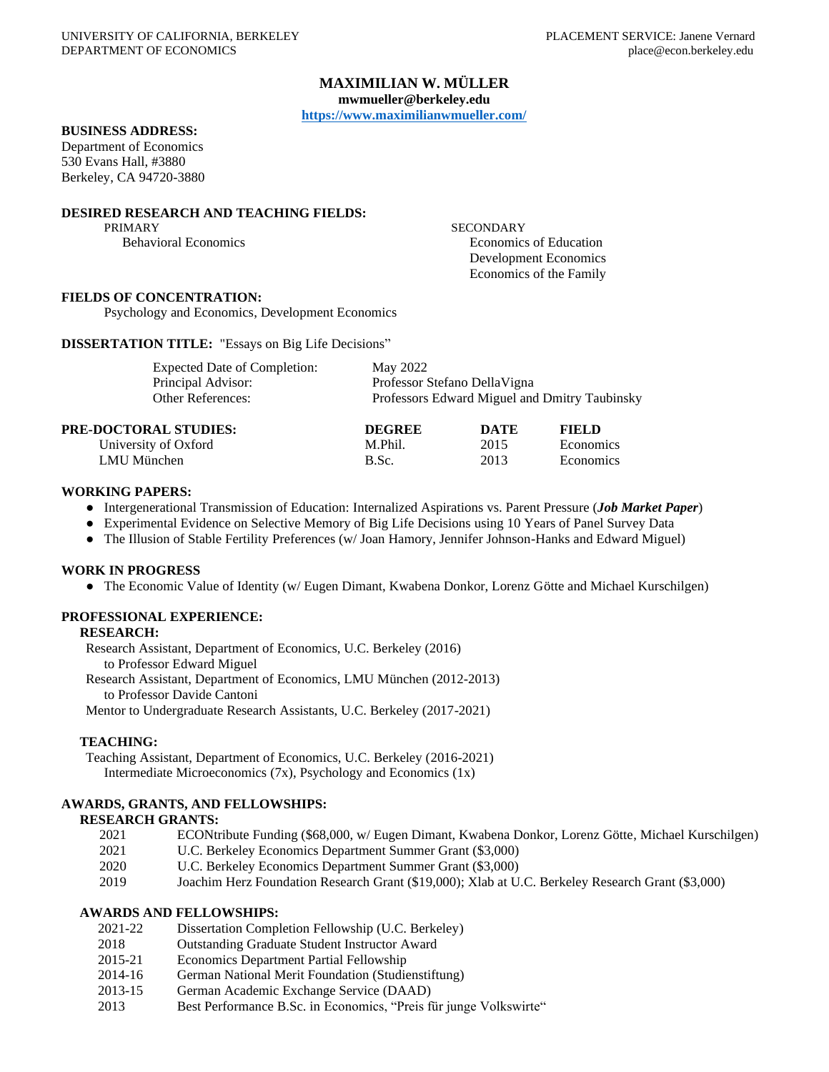## **MAXIMILIAN W. MÜLLER**

**mwmueller@berkeley.edu**

**<https://www.maximilianwmueller.com/>**

## **BUSINESS ADDRESS:**

Department of Economics 530 Evans Hall, #3880 Berkeley, CA 94720-3880

# **DESIRED RESEARCH AND TEACHING FIELDS:**

PRIMARY SECONDARY SECONDARY Behavioral Economics **Exercía Economics** Economics **Exercía Economics** Economics of Education Development Economics Economics of the Family

## **FIELDS OF CONCENTRATION:**

Psychology and Economics, Development Economics

**DISSERTATION TITLE:** "Essays on Big Life Decisions"

| <b>Expected Date of Completion:</b>                                                                                                                                                                                                                                                                                                | May 2022                                      |                      |       |  |
|------------------------------------------------------------------------------------------------------------------------------------------------------------------------------------------------------------------------------------------------------------------------------------------------------------------------------------|-----------------------------------------------|----------------------|-------|--|
| Principal Advisor:                                                                                                                                                                                                                                                                                                                 | Professor Stefano Della Vigna                 |                      |       |  |
| <b>Other References:</b>                                                                                                                                                                                                                                                                                                           | Professors Edward Miguel and Dmitry Taubinsky |                      |       |  |
| PRE-DOCTORAL STUDIES:                                                                                                                                                                                                                                                                                                              | <b>DEGREE</b>                                 | DATE                 | FIELD |  |
| $\mathbf{r}$ $\mathbf{r}$ $\mathbf{r}$ $\mathbf{r}$ $\mathbf{r}$ $\mathbf{r}$ $\mathbf{r}$ $\mathbf{r}$ $\mathbf{r}$ $\mathbf{r}$ $\mathbf{r}$ $\mathbf{r}$ $\mathbf{r}$ $\mathbf{r}$ $\mathbf{r}$ $\mathbf{r}$ $\mathbf{r}$ $\mathbf{r}$ $\mathbf{r}$ $\mathbf{r}$ $\mathbf{r}$ $\mathbf{r}$ $\mathbf{r}$ $\mathbf{r}$ $\mathbf{$ | <b>1 6 71 11</b>                              | $\sim$ $\sim$ $\sim$ |       |  |

| University of Oxford | M.Phil. | 2015 | Economics |
|----------------------|---------|------|-----------|
| LMU München          | B.Sc.   | 2013 | Economics |

### **WORKING PAPERS:**

- Intergenerational Transmission of Education: Internalized Aspirations vs. Parent Pressure (*Job Market Paper*)
- Experimental Evidence on Selective Memory of Big Life Decisions using 10 Years of Panel Survey Data
- The Illusion of Stable Fertility Preferences (w/ Joan Hamory, Jennifer Johnson-Hanks and Edward Miguel)

#### **WORK IN PROGRESS**

● The Economic Value of Identity (w/ Eugen Dimant, Kwabena Donkor, Lorenz Götte and Michael Kurschilgen)

## **PROFESSIONAL EXPERIENCE:**

#### **RESEARCH:**

Research Assistant, Department of Economics, U.C. Berkeley (2016) to Professor Edward Miguel Research Assistant, Department of Economics, LMU München (2012-2013) to Professor Davide Cantoni

Mentor to Undergraduate Research Assistants, U.C. Berkeley (2017-2021)

#### **TEACHING:**

Teaching Assistant, Department of Economics, U.C. Berkeley (2016-2021) Intermediate Microeconomics (7x), Psychology and Economics (1x)

## **AWARDS, GRANTS, AND FELLOWSHIPS:**

## **RESEARCH GRANTS:**

- 2021 ECONtribute Funding (\$68,000, w/ Eugen Dimant, Kwabena Donkor, Lorenz Götte, Michael Kurschilgen)
- 2021 U.C. Berkeley Economics Department Summer Grant (\$3,000)
- 2020 U.C. Berkeley Economics Department Summer Grant (\$3,000)
- 2019 Joachim Herz Foundation Research Grant (\$19,000); Xlab at U.C. Berkeley Research Grant (\$3,000)

## **AWARDS AND FELLOWSHIPS:**

- 2021-22 Dissertation Completion Fellowship (U.C. Berkeley)
- 2018 Outstanding Graduate Student Instructor Award
- 2015-21 Economics Department Partial Fellowship
- 2014-16 German National Merit Foundation (Studienstiftung)
- 2013-15 German Academic Exchange Service (DAAD)
- 2013 Best Performance B.Sc. in Economics, "Preis für junge Volkswirte"